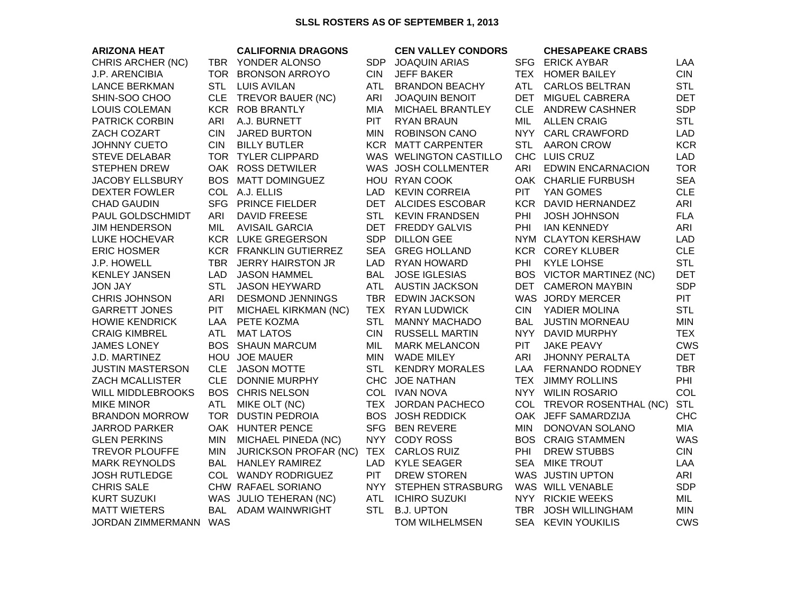## **SLSL ROSTERS AS OF SEPTEMBER 1, 2013**

| <b>ARIZONA HEAT</b>      |            | <b>CALIFORNIA DRAGONS</b>     |            | <b>CEN VALLEY CONDORS</b> |            | <b>CHESAPEAKE CRABS</b>  |            |
|--------------------------|------------|-------------------------------|------------|---------------------------|------------|--------------------------|------------|
| CHRIS ARCHER (NC)        |            | TBR YONDER ALONSO             | SDP        | <b>JOAQUIN ARIAS</b>      |            | SFG ERICK AYBAR          | LAA        |
| <b>J.P. ARENCIBIA</b>    |            | TOR BRONSON ARROYO            | <b>CIN</b> | <b>JEFF BAKER</b>         | TEX        | <b>HOMER BAILEY</b>      | <b>CIN</b> |
| <b>LANCE BERKMAN</b>     | <b>STL</b> | <b>LUIS AVILAN</b>            | <b>ATL</b> | <b>BRANDON BEACHY</b>     | <b>ATL</b> | <b>CARLOS BELTRAN</b>    | <b>STL</b> |
| SHIN-SOO CHOO            | <b>CLE</b> | TREVOR BAUER (NC)             | ARI        | <b>JOAQUIN BENOIT</b>     | <b>DET</b> | MIGUEL CABRERA           | <b>DET</b> |
| <b>LOUIS COLEMAN</b>     |            | KCR ROB BRANTLY               | <b>MIA</b> | MICHAEL BRANTLEY          | <b>CLE</b> | <b>ANDREW CASHNER</b>    | <b>SDP</b> |
| <b>PATRICK CORBIN</b>    | ARI        | A.J. BURNETT                  | PIT        | <b>RYAN BRAUN</b>         | MIL        | <b>ALLEN CRAIG</b>       | <b>STL</b> |
| ZACH COZART              | <b>CIN</b> | <b>JARED BURTON</b>           | MIN.       | <b>ROBINSON CANO</b>      |            | NYY CARL CRAWFORD        | <b>LAD</b> |
| <b>JOHNNY CUETO</b>      | <b>CIN</b> | <b>BILLY BUTLER</b>           | <b>KCR</b> | <b>MATT CARPENTER</b>     | <b>STL</b> | <b>AARON CROW</b>        | <b>KCR</b> |
| <b>STEVE DELABAR</b>     |            | TOR TYLER CLIPPARD            |            | WAS WELINGTON CASTILLO    |            | CHC LUIS CRUZ            | <b>LAD</b> |
| <b>STEPHEN DREW</b>      |            | OAK ROSS DETWILER             |            | WAS JOSH COLLMENTER       | ARI        | <b>EDWIN ENCARNACION</b> | <b>TOR</b> |
| <b>JACOBY ELLSBURY</b>   |            | BOS MATT DOMINGUEZ            |            | HOU RYAN COOK             |            | OAK CHARLIE FURBUSH      | <b>SEA</b> |
| <b>DEXTER FOWLER</b>     |            | COL A.J. ELLIS                | <b>LAD</b> | <b>KEVIN CORREIA</b>      | <b>PIT</b> | YAN GOMES                | <b>CLE</b> |
| <b>CHAD GAUDIN</b>       | <b>SFG</b> | <b>PRINCE FIELDER</b>         |            | DET ALCIDES ESCOBAR       |            | KCR DAVID HERNANDEZ      | ARI        |
| PAUL GOLDSCHMIDT         | ARI        | <b>DAVID FREESE</b>           | <b>STL</b> | <b>KEVIN FRANDSEN</b>     | PHI        | <b>JOSH JOHNSON</b>      | <b>FLA</b> |
| <b>JIM HENDERSON</b>     | MIL        | <b>AVISAIL GARCIA</b>         | <b>DET</b> | <b>FREDDY GALVIS</b>      | PHI        | <b>IAN KENNEDY</b>       | ARI        |
| LUKE HOCHEVAR            |            | KCR LUKE GREGERSON            | <b>SDP</b> | <b>DILLON GEE</b>         |            | NYM CLAYTON KERSHAW      | <b>LAD</b> |
| <b>ERIC HOSMER</b>       |            | <b>KCR FRANKLIN GUTIERREZ</b> | <b>SEA</b> | <b>GREG HOLLAND</b>       |            | <b>KCR COREY KLUBER</b>  | <b>CLE</b> |
| J.P. HOWELL              |            | TBR JERRY HAIRSTON JR         | LAD.       | RYAN HOWARD               | PHI        | <b>KYLE LOHSE</b>        | <b>STL</b> |
| <b>KENLEY JANSEN</b>     | LAD.       | <b>JASON HAMMEL</b>           | <b>BAL</b> | <b>JOSE IGLESIAS</b>      |            | BOS VICTOR MARTINEZ (NC) | <b>DET</b> |
| <b>JON JAY</b>           | <b>STL</b> | <b>JASON HEYWARD</b>          | ATL        | <b>AUSTIN JACKSON</b>     | DET        | <b>CAMERON MAYBIN</b>    | <b>SDP</b> |
| <b>CHRIS JOHNSON</b>     | ARI        | <b>DESMOND JENNINGS</b>       | TBR        | <b>EDWIN JACKSON</b>      |            | WAS JORDY MERCER         | <b>PIT</b> |
| <b>GARRETT JONES</b>     | <b>PIT</b> | MICHAEL KIRKMAN (NC)          | TEX        | <b>RYAN LUDWICK</b>       | <b>CIN</b> | YADIER MOLINA            | <b>STL</b> |
| <b>HOWIE KENDRICK</b>    | LAA        | PETE KOZMA                    | <b>STL</b> | <b>MANNY MACHADO</b>      | BAL        | <b>JUSTIN MORNEAU</b>    | <b>MIN</b> |
| <b>CRAIG KIMBREL</b>     | <b>ATL</b> | <b>MAT LATOS</b>              | <b>CIN</b> | <b>RUSSELL MARTIN</b>     |            | NYY DAVID MURPHY         | <b>TEX</b> |
| <b>JAMES LONEY</b>       |            | <b>BOS SHAUN MARCUM</b>       | MIL        | <b>MARK MELANCON</b>      | <b>PIT</b> | <b>JAKE PEAVY</b>        | <b>CWS</b> |
| J.D. MARTINEZ            |            | HOU JOE MAUER                 | MIN.       | <b>WADE MILEY</b>         | ARI        | <b>JHONNY PERALTA</b>    | <b>DET</b> |
| <b>JUSTIN MASTERSON</b>  | <b>CLE</b> | <b>JASON MOTTE</b>            | <b>STL</b> | <b>KENDRY MORALES</b>     | LAA        | FERNANDO RODNEY          | <b>TBR</b> |
| <b>ZACH MCALLISTER</b>   | <b>CLE</b> | <b>DONNIE MURPHY</b>          |            | CHC JOE NATHAN            | <b>TEX</b> | <b>JIMMY ROLLINS</b>     | PHI        |
| <b>WILL MIDDLEBROOKS</b> |            | <b>BOS CHRIS NELSON</b>       |            | COL IVAN NOVA             |            | NYY WILIN ROSARIO        | COL        |
| <b>MIKE MINOR</b>        | <b>ATL</b> | MIKE OLT (NC)                 |            | TEX JORDAN PACHECO        | COL        | TREVOR ROSENTHAL (NC)    | <b>STL</b> |
| <b>BRANDON MORROW</b>    | TOR        | <b>DUSTIN PEDROIA</b>         |            | <b>BOS JOSH REDDICK</b>   |            | OAK JEFF SAMARDZIJA      | <b>CHC</b> |
| <b>JARROD PARKER</b>     |            | OAK HUNTER PENCE              | <b>SFG</b> | <b>BEN REVERE</b>         | <b>MIN</b> | DONOVAN SOLANO           | <b>MIA</b> |
| <b>GLEN PERKINS</b>      | <b>MIN</b> | MICHAEL PINEDA (NC)           | NYY .      | <b>CODY ROSS</b>          | <b>BOS</b> | <b>CRAIG STAMMEN</b>     | <b>WAS</b> |
| <b>TREVOR PLOUFFE</b>    | <b>MIN</b> | <b>JURICKSON PROFAR (NC)</b>  | TEX        | <b>CARLOS RUIZ</b>        | PHI        | <b>DREW STUBBS</b>       | <b>CIN</b> |
| <b>MARK REYNOLDS</b>     | <b>BAL</b> | <b>HANLEY RAMIREZ</b>         | <b>LAD</b> | <b>KYLE SEAGER</b>        | <b>SEA</b> | <b>MIKE TROUT</b>        | LAA        |
| <b>JOSH RUTLEDGE</b>     |            | COL WANDY RODRIGUEZ           | <b>PIT</b> | <b>DREW STOREN</b>        |            | WAS JUSTIN UPTON         | ARI        |
| <b>CHRIS SALE</b>        |            | CHW RAFAEL SORIANO            | NYY        | <b>STEPHEN STRASBURG</b>  |            | WAS WILL VENABLE         | <b>SDP</b> |
| <b>KURT SUZUKI</b>       |            | WAS JULIO TEHERAN (NC)        | <b>ATL</b> | <b>ICHIRO SUZUKI</b>      |            | NYY RICKIE WEEKS         | MIL        |
| <b>MATT WIETERS</b>      |            | BAL ADAM WAINWRIGHT           | <b>STL</b> | <b>B.J. UPTON</b>         | <b>TBR</b> | <b>JOSH WILLINGHAM</b>   | <b>MIN</b> |
| JORDAN ZIMMERMANN        | WAS        |                               |            | <b>TOM WILHELMSEN</b>     | SEA        | <b>KEVIN YOUKILIS</b>    | <b>CWS</b> |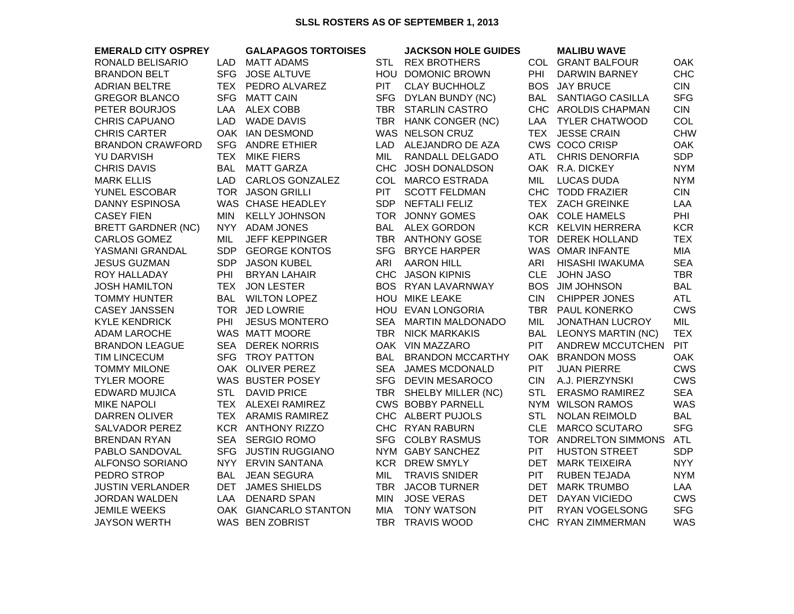## **SLSL ROSTERS AS OF SEPTEMBER 1, 2013**

| <b>EMERALD CITY OSPREY</b> |            | <b>GALAPAGOS TORTOISES</b> |            | <b>JACKSON HOLE GUIDES</b> |            | <b>MALIBU WAVE</b>        |            |
|----------------------------|------------|----------------------------|------------|----------------------------|------------|---------------------------|------------|
| RONALD BELISARIO           | LAD        | <b>MATT ADAMS</b>          | STL        | <b>REX BROTHERS</b>        |            | COL GRANT BALFOUR         | <b>OAK</b> |
| <b>BRANDON BELT</b>        | <b>SFG</b> | <b>JOSE ALTUVE</b>         |            | HOU DOMONIC BROWN          | PHI        | <b>DARWIN BARNEY</b>      | <b>CHC</b> |
| <b>ADRIAN BELTRE</b>       | <b>TEX</b> | PEDRO ALVAREZ              | PIT        | <b>CLAY BUCHHOLZ</b>       | <b>BOS</b> | <b>JAY BRUCE</b>          | <b>CIN</b> |
| <b>GREGOR BLANCO</b>       | <b>SFG</b> | <b>MATT CAIN</b>           |            | SFG DYLAN BUNDY (NC)       | BAL        | <b>SANTIAGO CASILLA</b>   | <b>SFG</b> |
| PETER BOURJOS              | LAA        | <b>ALEX COBB</b>           | TBR        | <b>STARLIN CASTRO</b>      |            | CHC AROLDIS CHAPMAN       | <b>CIN</b> |
| <b>CHRIS CAPUANO</b>       | <b>LAD</b> | <b>WADE DAVIS</b>          |            | TBR HANK CONGER (NC)       | LAA        | TYLER CHATWOOD            | COL        |
| <b>CHRIS CARTER</b>        |            | OAK IAN DESMOND            |            | WAS NELSON CRUZ            |            | TEX JESSE CRAIN           | <b>CHW</b> |
| <b>BRANDON CRAWFORD</b>    | <b>SFG</b> | <b>ANDRE ETHIER</b>        | <b>LAD</b> | ALEJANDRO DE AZA           |            | CWS COCO CRISP            | <b>OAK</b> |
| <b>YU DARVISH</b>          | <b>TEX</b> | <b>MIKE FIERS</b>          | MIL        | RANDALL DELGADO            | ATL        | <b>CHRIS DENORFIA</b>     | <b>SDP</b> |
| <b>CHRIS DAVIS</b>         | <b>BAL</b> | <b>MATT GARZA</b>          |            | CHC JOSH DONALDSON         |            | OAK R.A. DICKEY           | <b>NYM</b> |
| <b>MARK ELLIS</b>          | <b>LAD</b> | <b>CARLOS GONZALEZ</b>     |            | COL MARCO ESTRADA          | MIL        | <b>LUCAS DUDA</b>         | <b>NYM</b> |
| YUNEL ESCOBAR              |            | TOR JASON GRILLI           | <b>PIT</b> | <b>SCOTT FELDMAN</b>       |            | CHC TODD FRAZIER          | <b>CIN</b> |
| <b>DANNY ESPINOSA</b>      |            | WAS CHASE HEADLEY          | SDP        | <b>NEFTALI FELIZ</b>       |            | TEX ZACH GREINKE          | LAA        |
| <b>CASEY FIEN</b>          | <b>MIN</b> | <b>KELLY JOHNSON</b>       |            | TOR JONNY GOMES            |            | OAK COLE HAMELS           | PHI        |
| <b>BRETT GARDNER (NC)</b>  | NYY        | <b>ADAM JONES</b>          | <b>BAL</b> | <b>ALEX GORDON</b>         |            | KCR KELVIN HERRERA        | <b>KCR</b> |
| <b>CARLOS GOMEZ</b>        | MIL        | <b>JEFF KEPPINGER</b>      |            | TBR ANTHONY GOSE           |            | TOR DEREK HOLLAND         | <b>TEX</b> |
| YASMANI GRANDAL            | SDP        | <b>GEORGE KONTOS</b>       |            | SFG BRYCE HARPER           |            | WAS OMAR INFANTE          | <b>MIA</b> |
| <b>JESUS GUZMAN</b>        | <b>SDP</b> | <b>JASON KUBEL</b>         | <b>ARI</b> | <b>AARON HILL</b>          | <b>ARI</b> | HISASHI IWAKUMA           | <b>SEA</b> |
| ROY HALLADAY               | PHI        | <b>BRYAN LAHAIR</b>        |            | CHC JASON KIPNIS           | <b>CLE</b> | <b>JOHN JASO</b>          | <b>TBR</b> |
| <b>JOSH HAMILTON</b>       | <b>TEX</b> | <b>JON LESTER</b>          |            | BOS RYAN LAVARNWAY         | <b>BOS</b> | <b>JIM JOHNSON</b>        | <b>BAL</b> |
| <b>TOMMY HUNTER</b>        | <b>BAL</b> | <b>WILTON LOPEZ</b>        |            | HOU MIKE LEAKE             | <b>CIN</b> | <b>CHIPPER JONES</b>      | <b>ATL</b> |
| <b>CASEY JANSSEN</b>       |            | TOR JED LOWRIE             |            | HOU EVAN LONGORIA          |            | TBR PAUL KONERKO          | <b>CWS</b> |
| <b>KYLE KENDRICK</b>       | PHI        | <b>JESUS MONTERO</b>       | <b>SEA</b> | <b>MARTIN MALDONADO</b>    | MIL        | <b>JONATHAN LUCROY</b>    | MIL        |
| <b>ADAM LAROCHE</b>        |            | WAS MATT MOORE             | <b>TBR</b> | <b>NICK MARKAKIS</b>       | <b>BAL</b> | <b>LEONYS MARTIN (NC)</b> | <b>TEX</b> |
| <b>BRANDON LEAGUE</b>      | <b>SEA</b> | <b>DEREK NORRIS</b>        |            | OAK VIN MAZZARO            | PIT        | ANDREW MCCUTCHEN          | <b>PIT</b> |
| <b>TIM LINCECUM</b>        | <b>SFG</b> | <b>TROY PATTON</b>         | <b>BAL</b> | <b>BRANDON MCCARTHY</b>    |            | OAK BRANDON MOSS          | <b>OAK</b> |
| <b>TOMMY MILONE</b>        |            | OAK OLIVER PEREZ           | <b>SEA</b> | <b>JAMES MCDONALD</b>      | <b>PIT</b> | <b>JUAN PIERRE</b>        | <b>CWS</b> |
| <b>TYLER MOORE</b>         |            | WAS BUSTER POSEY           |            | SFG DEVIN MESAROCO         | <b>CIN</b> | A.J. PIERZYNSKI           | <b>CWS</b> |
| <b>EDWARD MUJICA</b>       | <b>STL</b> | <b>DAVID PRICE</b>         | <b>TBR</b> | SHELBY MILLER (NC)         | <b>STL</b> | <b>ERASMO RAMIREZ</b>     | <b>SEA</b> |
| <b>MIKE NAPOLI</b>         |            | TEX ALEXEI RAMIREZ         |            | <b>CWS BOBBY PARNELL</b>   |            | NYM WILSON RAMOS          | <b>WAS</b> |
| DARREN OLIVER              |            | TEX ARAMIS RAMIREZ         |            | CHC ALBERT PUJOLS          | STL        | <b>NOLAN REIMOLD</b>      | <b>BAL</b> |
| <b>SALVADOR PEREZ</b>      |            | KCR ANTHONY RIZZO          |            | CHC RYAN RABURN            | <b>CLE</b> | <b>MARCO SCUTARO</b>      | <b>SFG</b> |
| <b>BRENDAN RYAN</b>        |            | SEA SERGIO ROMO            | <b>SFG</b> | <b>COLBY RASMUS</b>        |            | TOR ANDRELTON SIMMONS     | <b>ATL</b> |
| PABLO SANDOVAL             | <b>SFG</b> | <b>JUSTIN RUGGIANO</b>     |            | NYM GABY SANCHEZ           | <b>PIT</b> | <b>HUSTON STREET</b>      | <b>SDP</b> |
| <b>ALFONSO SORIANO</b>     |            | NYY ERVIN SANTANA          | <b>KCR</b> | <b>DREW SMYLY</b>          | <b>DET</b> | <b>MARK TEIXEIRA</b>      | <b>NYY</b> |
| PEDRO STROP                | <b>BAL</b> | <b>JEAN SEGURA</b>         | MIL        | <b>TRAVIS SNIDER</b>       | <b>PIT</b> | <b>RUBEN TEJADA</b>       | <b>NYM</b> |
| <b>JUSTIN VERLANDER</b>    | <b>DET</b> | <b>JAMES SHIELDS</b>       | <b>TBR</b> | <b>JACOB TURNER</b>        | <b>DET</b> | <b>MARK TRUMBO</b>        | LAA        |
| <b>JORDAN WALDEN</b>       | LAA        | <b>DENARD SPAN</b>         | <b>MIN</b> | <b>JOSE VERAS</b>          | DET        | DAYAN VICIEDO             | <b>CWS</b> |
| <b>JEMILE WEEKS</b>        |            | OAK GIANCARLO STANTON      | <b>MIA</b> | <b>TONY WATSON</b>         | <b>PIT</b> | RYAN VOGELSONG            | <b>SFG</b> |
| <b>JAYSON WERTH</b>        |            | WAS BEN ZOBRIST            | <b>TBR</b> | <b>TRAVIS WOOD</b>         |            | CHC RYAN ZIMMERMAN        | <b>WAS</b> |